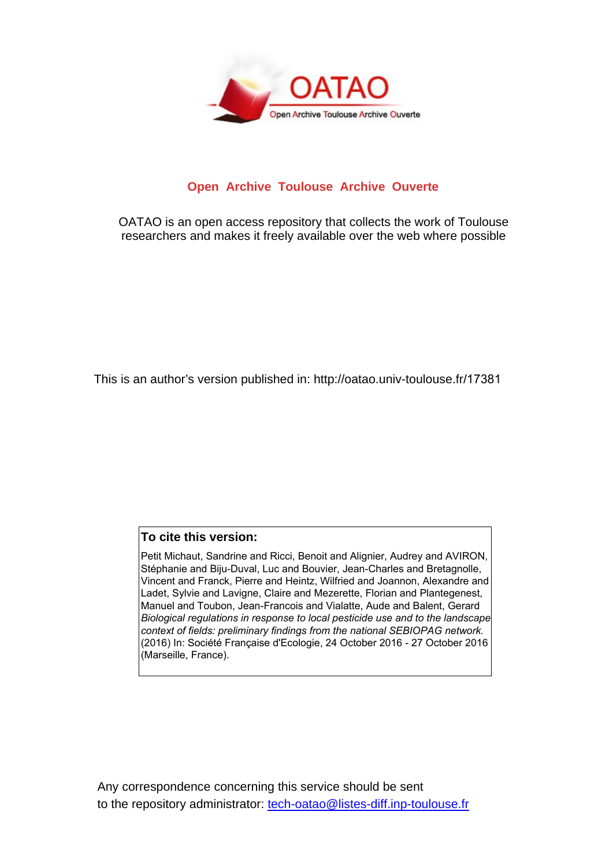

## **Open Archive Toulouse Archive Ouverte**

OATAO is an open access repository that collects the work of Toulouse researchers and makes it freely available over the web where possible

This is an author's version published in: http://oatao.univ-toulouse.fr/17381

## **To cite this version:**

Petit Michaut, Sandrine and Ricci, Benoit and Alignier, Audrey and AVIRON, Stéphanie and Biju-Duval, Luc and Bouvier, Jean-Charles and Bretagnolle, Vincent and Franck, Pierre and Heintz, Wilfried and Joannon, Alexandre and Ladet, Sylvie and Lavigne, Claire and Mezerette, Florian and Plantegenest, Manuel and Toubon, Jean-Francois and Vialatte, Aude and Balent, Gerard *Biological regulations in response to local pesticide use and to the landscape context of fields: preliminary findings from the national SEBIOPAG network.* (2016) In: Société Française d'Ecologie, 24 October 2016 - 27 October 2016 (Marseille, France).

Any correspondence concerning this service should be sent to the repository administrator: tech-oatao@listes-diff.inp-toulouse.fr